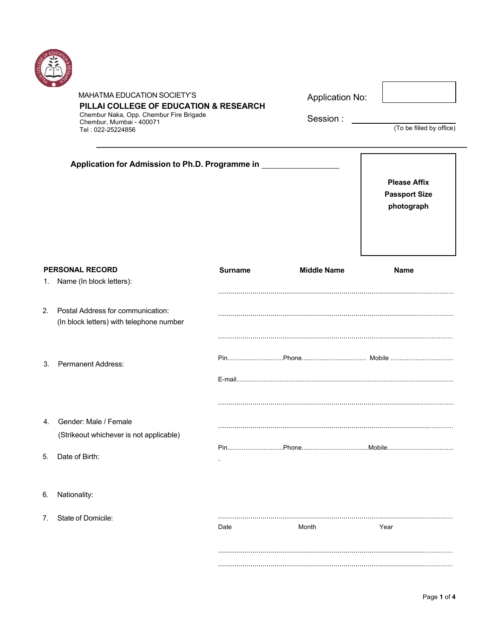

 $2.$ 

 $5.$ 

 $6.$ 

 $7.$ 

|    | MAHATMA EDUCATION SOCIETY'S<br>Chembur Naka, Opp. Chembur Fire Brigade<br>Chembur, Mumbai - 400071<br>Tel: 022-25224856 | PILLAI COLLEGE OF EDUCATION & RESEARCH |                    | <b>Application No:</b><br>(To be filled by office)        |
|----|-------------------------------------------------------------------------------------------------------------------------|----------------------------------------|--------------------|-----------------------------------------------------------|
|    | Application for Admission to Ph.D. Programme in ___                                                                     |                                        |                    | <b>Please Affix</b><br><b>Passport Size</b><br>photograph |
|    | <b>PERSONAL RECORD</b><br>1. Name (In block letters):                                                                   | <b>Surname</b>                         | <b>Middle Name</b> | <b>Name</b>                                               |
| 2. | Postal Address for communication:<br>(In block letters) with telephone number                                           |                                        |                    |                                                           |
| 3. | <b>Permanent Address:</b>                                                                                               |                                        |                    |                                                           |
| 4. | Gender: Male / Female<br>(Strikeout whichever is not applicable)                                                        |                                        |                    |                                                           |
| 5. | Date of Birth:                                                                                                          |                                        |                    |                                                           |
| 6. | Nationality:                                                                                                            |                                        |                    |                                                           |
| 7. | State of Domicile:                                                                                                      | Date                                   | Month              | Year                                                      |
|    |                                                                                                                         |                                        |                    |                                                           |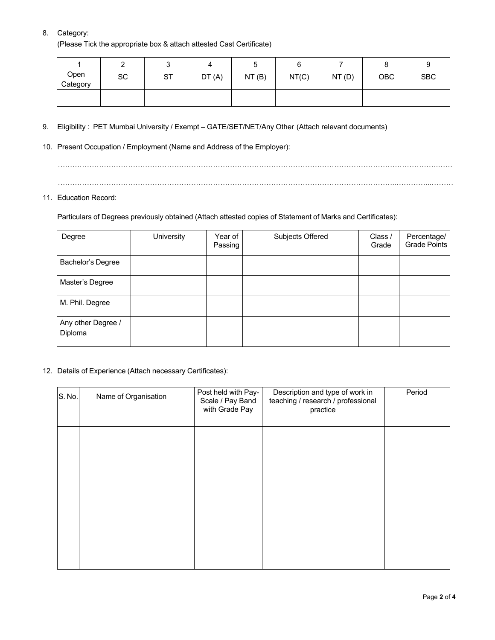## 8. Category:

(Please Tick the appropriate box & attach attested Cast Certificate)

|                  | ∽<br>∸ |           |       |       | ∼     |       |            |            |
|------------------|--------|-----------|-------|-------|-------|-------|------------|------------|
| Open<br>Category | SC     | <b>ST</b> | DT(A) | NT(B) | NT(C) | NT(D) | <b>OBC</b> | <b>SBC</b> |
|                  |        |           |       |       |       |       |            |            |

- 9. Eligibility : PET Mumbai University / Exempt GATE/SET/NET/Any Other (Attach relevant documents)
- 10. Present Occupation / Employment (Name and Address of the Employer):

………………………………………………………………………………………………………………………………………….…… …………………………………………………………………………………………………………………………..…………...………

### 11. Education Record:

Particulars of Degrees previously obtained (Attach attested copies of Statement of Marks and Certificates):

| Degree                        | University | Year of<br>Passing | Subjects Offered | Class /<br>Grade | Percentage/<br>Grade Points |
|-------------------------------|------------|--------------------|------------------|------------------|-----------------------------|
| Bachelor's Degree             |            |                    |                  |                  |                             |
| Master's Degree               |            |                    |                  |                  |                             |
| M. Phil. Degree               |            |                    |                  |                  |                             |
| Any other Degree /<br>Diploma |            |                    |                  |                  |                             |

12. Details of Experience (Attach necessary Certificates):

| S. No. | Name of Organisation | Post held with Pay-<br>Scale / Pay Band<br>with Grade Pay | Description and type of work in<br>teaching / research / professional<br>practice | Period |
|--------|----------------------|-----------------------------------------------------------|-----------------------------------------------------------------------------------|--------|
|        |                      |                                                           |                                                                                   |        |
|        |                      |                                                           |                                                                                   |        |
|        |                      |                                                           |                                                                                   |        |
|        |                      |                                                           |                                                                                   |        |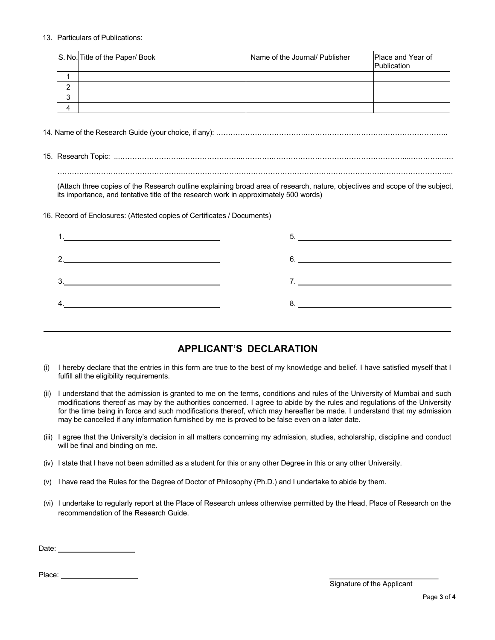#### 13. Particulars of Publications:

|           | S. No. Title of the Paper/ Book | Name of the Journal/ Publisher | <b>Place and Year of</b><br>Publication |
|-----------|---------------------------------|--------------------------------|-----------------------------------------|
|           |                                 |                                |                                         |
| ົ         |                                 |                                |                                         |
| ົ<br>ω    |                                 |                                |                                         |
| $\Lambda$ |                                 |                                |                                         |

14. Name of the Research Guide (your choice, if any): ……………………………….…………………………………………………..

15. Research Topic: ...…………………….……………………..………….………………………………………………...…………..….

…………………………………………….……………………………………………………………………….………………………...

(Attach three copies of the Research outline explaining broad area of research, nature, objectives and scope of the subject, its importance, and tentative title of the research work in approximately 500 words)

16. Record of Enclosures: (Attested copies of Certificates / Documents)

|                               | $5.$ $\overline{\phantom{a}}$ |
|-------------------------------|-------------------------------|
| 2. $\overline{\phantom{a}1}$  | 6.                            |
| $3.$ $\overline{\phantom{a}}$ |                               |
| $\mathbf{4.}$                 |                               |
|                               |                               |

# **APPLICANT'S DECLARATION**

- (i) I hereby declare that the entries in this form are true to the best of my knowledge and belief. I have satisfied myself that I fulfill all the eligibility requirements.
- (ii) I understand that the admission is granted to me on the terms, conditions and rules of the University of Mumbai and such modifications thereof as may by the authorities concerned. I agree to abide by the rules and regulations of the University for the time being in force and such modifications thereof, which may hereafter be made. I understand that my admission may be cancelled if any information furnished by me is proved to be false even on a later date.
- (iii) I agree that the University's decision in all matters concerning my admission, studies, scholarship, discipline and conduct will be final and binding on me.
- (iv) I state that I have not been admitted as a student for this or any other Degree in this or any other University.
- (v) I have read the Rules for the Degree of Doctor of Philosophy (Ph.D.) and I undertake to abide by them.
- (vi) I undertake to regularly report at the Place of Research unless otherwise permitted by the Head, Place of Research on the recommendation of the Research Guide.

Date: **Date: Date: Date: Date: Date:** 

Place: **Place: Place: Place: Place:**